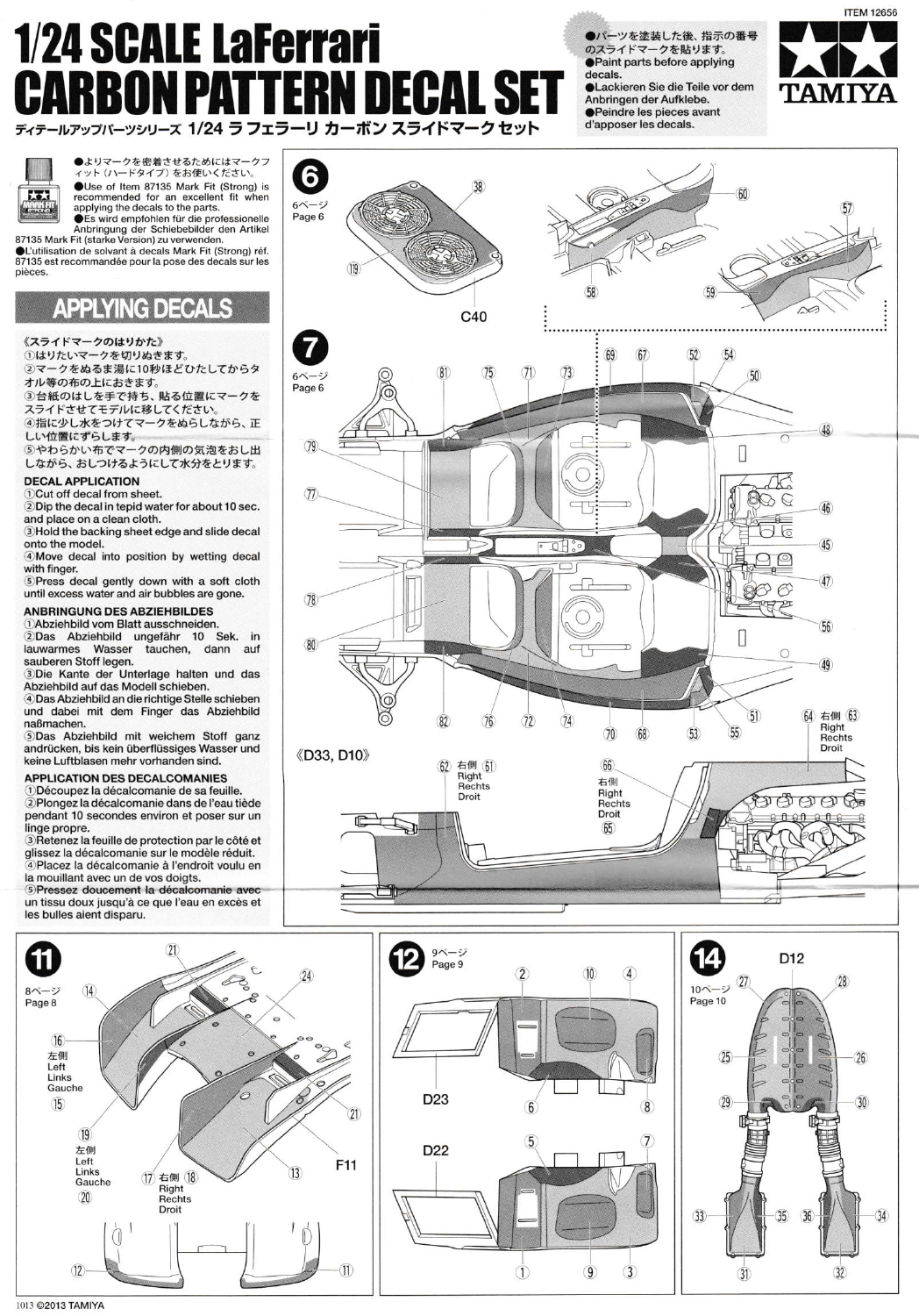## **1/24 SCALE LaFerrari** ERN DECAL S PД ON **ARB** ディテールアップバーツシリーズ 1/24 ラ フェラーリ カーボン スライドマークセット

●パーツを塗装した後、指示の番号 のスライドマークを貼ります。 **OPaint parts before applying** decals. **OLackieren Sie die Teile vor dem** Anbringen der Aufklebe. ●Peindre les pieces avant d'apposer les decals.



大大  $\left| \cdot \right|$  ●よりマークを密着させるためにはマークフ<br>ィット (ハードタイプ) をお使いください。 OUse of Item 87135 Mark Fit (Strong) is recommended for an excellent fit when<br>applying the decals to the parts.

State of the professionalle<br>
The suite end of the professionalle<br>
Anbringung der Schiebebilder den Artikel<br>
87135 Mark Fit (starke Version) zu verwenden.<br>
CL'utilisation de solvant à decals Mark Fit (Strong) réf.

87135 est recommandée pour la pose des decals sur les pièces

# **APPLYING DECALS**

《スライドマークのはりかた》

①はりたいマークを切りぬきます。 2マークをぬるま湯に10秒ほどひたしてからタ

オル等の布の上におきます。

3台紙のはしを手で持ち、貼る位置にマークを スライドさせてモデルに移してください。

4指に少し水をつけてマークをぬらしながら、正 しい位置にずらします。

5やわらかい布でマークの内側の気泡をおし出 しながら、おしつけるようにして水分をとります。

### **DECAL APPLICATION**

1) Cut off decal from sheet.

2 Dip the decal in tepid water for about 10 sec. and place on a clean cloth.

3 Hold the backing sheet edge and slide decal onto the model.

4 Move decal into position by wetting decal with finger.

The star inger.<br>
SPress decal gently down with a soft cloth<br>
until excess water and air bubbles are gone.

## **ANBRINGUNG DES ABZIEHBILDES**

1) Abziehbild vom Blatt ausschneiden. 2Das Abziehbild ungefähr 10 Sek. in lauwarmes Wasser tauchen, dann auf sauberen Stoff legen.

3Die Kante der Unterlage halten und das Abziehbild auf das Modell schieben. 4 Das Abziehbild an die richtige Stelle schieben

und dabei mit dem Finger das Abziehbild naßmachen.

5Das Abziehbild mit weichem Stoff ganz andrücken, bis kein überflüssiges Wasser und keine Luftblasen mehr vorhanden sind.

#### **APPLICATION DES DECALCOMANIES**

1 Découpez la décalcomanie de sa feuille. 2 Plongez la décalcomanie dans de l'eau tiède pendant 10 secondes environ et poser sur un linge propre.

3 Retenez la feuille de protection par le côté et glissez la décalcomanie sur le modèle réduit.<br>4 Placez la décalcomanie à l'endroit voulu en la mouillant avec un de vos doigts.

5) Pressez doucement la décalcomanie avec un tissu doux jusqu'à ce que l'eau en excès et les bulles aient disparu.



 $\overline{2}$ 

6

 $\overline{5}$ 

 $\overline{1}$ 

 $\overline{4}$ 

 $\overline{8}$ 

 $\overline{10}$ 

 $\circled{9}$ 

 $(3)$ 





1013 ©2013 TAMIYA